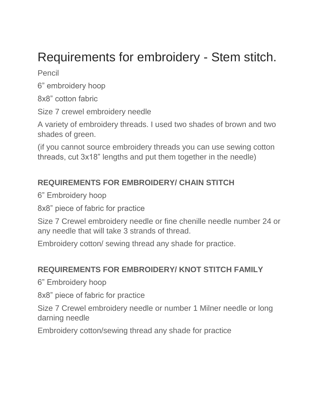## Requirements for embroidery - Stem stitch.

Pencil

6" embroidery hoop

8x8" cotton fabric

Size 7 crewel embroidery needle

A variety of embroidery threads. I used two shades of brown and two shades of green.

(if you cannot source embroidery threads you can use sewing cotton threads, cut 3x18" lengths and put them together in the needle)

## **REQUIREMENTS FOR EMBROIDERY/ CHAIN STITCH**

6" Embroidery hoop

8x8" piece of fabric for practice

Size 7 Crewel embroidery needle or fine chenille needle number 24 or any needle that will take 3 strands of thread.

Embroidery cotton/ sewing thread any shade for practice.

## **REQUIREMENTS FOR EMBROIDERY/ KNOT STITCH FAMILY**

6" Embroidery hoop

8x8" piece of fabric for practice

Size 7 Crewel embroidery needle or number 1 Milner needle or long darning needle

Embroidery cotton/sewing thread any shade for practice